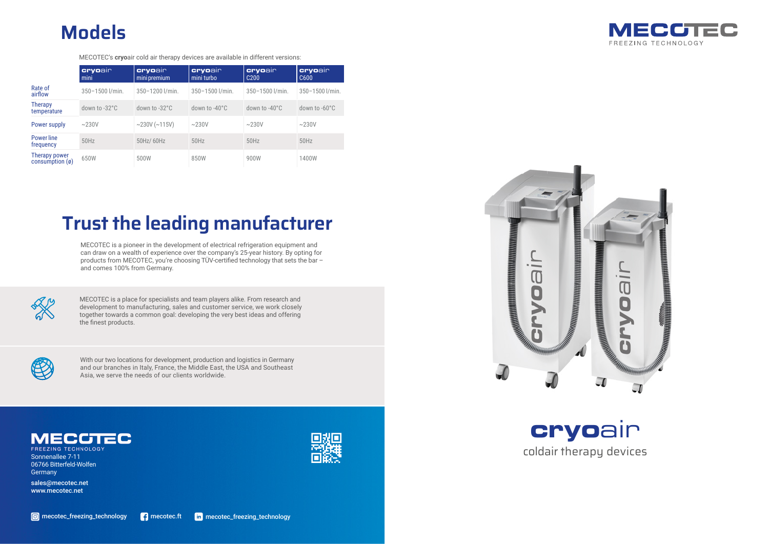## **cryo**air coldair therapy devices

MECOTEC is a place for specialists and team players alike. From research and development to manufacturing, sales and customer service, we work closely together towards a common goal: developing the very best ideas and offering the finest products.





|                                            | <b>cryoair</b><br>mini  | <b>cryoair</b><br>mini premium | cryoair<br>mini turbo   | cryoair<br>C <sub>200</sub> | cryoair<br>C600         |
|--------------------------------------------|-------------------------|--------------------------------|-------------------------|-----------------------------|-------------------------|
| Rate of<br>airflow                         | 350-1500 l/min.         | 350-1200 l/min.                | 350-1500 l/min.         | 350-1500 l/min.             | 350-1500 l/min.         |
| <b>Therapy</b><br>temperature              | down to $-32^{\circ}$ C | down to $-32^{\circ}$ C        | down to $-40^{\circ}$ C | down to $-40^{\circ}$ C     | down to $-60^{\circ}$ C |
| Power supply                               | $\sim$ 230V             | $\sim$ 230V ( $\sim$ 115V)     | $\sim$ 230V             | $\sim$ 230V                 | $\sim$ 230V             |
| Power line<br>frequency                    | 50Hz                    | 50Hz/ 60Hz                     | 50Hz                    | 50Hz                        | 50Hz                    |
| Therapy power<br>consumption $(\emptyset)$ | 650W                    | 500W                           | 850W                    | 900W                        | 1400W                   |

## **Models**

MECOTEC's **cryo**air cold air therapy devices are available in different versions:

With our two locations for development, production and logistics in Germany and our branches in Italy, France, the Middle East, the USA and Southeast Asia, we serve the needs of our clients worldwide.



Eegree M

**FREEZING TECHNOLOGY** Sonnenallee 7-11 06766 Bitterfeld-Wolfen **Germany** 

## **Trust the leading manufacturer**

MECOTEC is a pioneer in the development of electrical refrigeration equipment and can draw on a wealth of experience over the company's 25-year history. By opting for products from MECOTEC, you're choosing TÜV-certified technology that sets the bar  $$ and comes 100% from Germany.



sales@mecotec.net www.mecotec.net